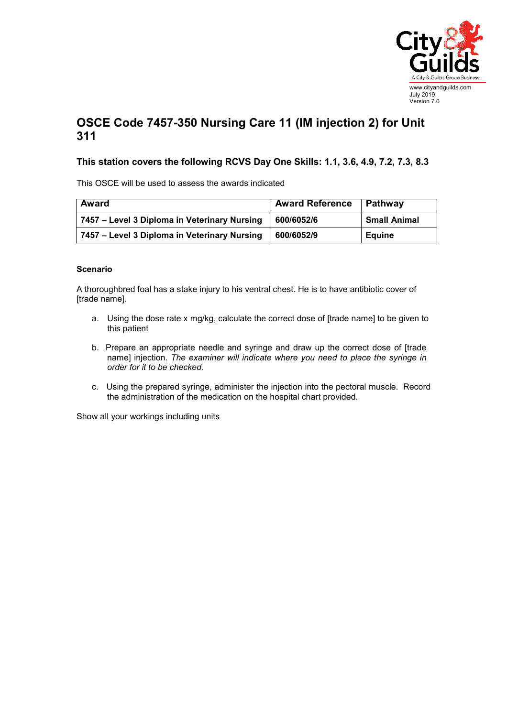

## **OSCE Code 7457-350 Nursing Care 11 (IM injection 2) for Unit 311**

## **This station covers the following RCVS Day One Skills: 1.1, 3.6, 4.9, 7.2, 7.3, 8.3**

This OSCE will be used to assess the awards indicated

| <b>Award</b>                                 | <b>Award Reference</b> | Pathway             |
|----------------------------------------------|------------------------|---------------------|
| 7457 – Level 3 Diploma in Veterinary Nursing | 600/6052/6             | <b>Small Animal</b> |
| 7457 – Level 3 Diploma in Veterinary Nursing | 600/6052/9             | Eauine              |

## **Scenario**

A thoroughbred foal has a stake injury to his ventral chest. He is to have antibiotic cover of [trade name].

- a. Using the dose rate x mg/kg, calculate the correct dose of [trade name] to be given to this patient
- b. Prepare an appropriate needle and syringe and draw up the correct dose of [trade name] injection. *The examiner will indicate where you need to place the syringe in order for it to be checked.*
- c. Using the prepared syringe, administer the injection into the pectoral muscle. Record the administration of the medication on the hospital chart provided.

Show all your workings including units